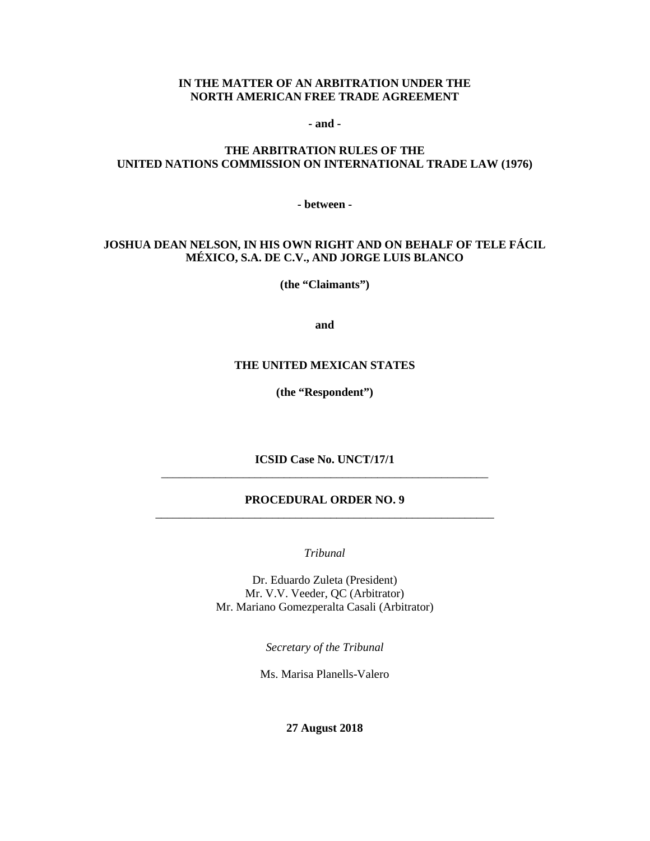#### **IN THE MATTER OF AN ARBITRATION UNDER THE NORTH AMERICAN FREE TRADE AGREEMENT**

**- and -**

### **THE ARBITRATION RULES OF THE UNITED NATIONS COMMISSION ON INTERNATIONAL TRADE LAW (1976)**

**- between -**

### **JOSHUA DEAN NELSON, IN HIS OWN RIGHT AND ON BEHALF OF TELE FÁCIL MÉXICO, S.A. DE C.V., AND JORGE LUIS BLANCO**

**(the "Claimants")**

**and**

#### **THE UNITED MEXICAN STATES**

**(the "Respondent")**

**ICSID Case No. UNCT/17/1** \_\_\_\_\_\_\_\_\_\_\_\_\_\_\_\_\_\_\_\_\_\_\_\_\_\_\_\_\_\_\_\_\_\_\_\_\_\_\_\_\_\_\_\_\_\_\_\_\_\_\_\_\_\_\_\_

#### **PROCEDURAL ORDER NO. 9** \_\_\_\_\_\_\_\_\_\_\_\_\_\_\_\_\_\_\_\_\_\_\_\_\_\_\_\_\_\_\_\_\_\_\_\_\_\_\_\_\_\_\_\_\_\_\_\_\_\_\_\_\_\_\_\_\_\_

*Tribunal*

Dr. Eduardo Zuleta (President) Mr. V.V. Veeder, QC (Arbitrator) Mr. Mariano Gomezperalta Casali (Arbitrator)

*Secretary of the Tribunal*

Ms. Marisa Planells-Valero

**27 August 2018**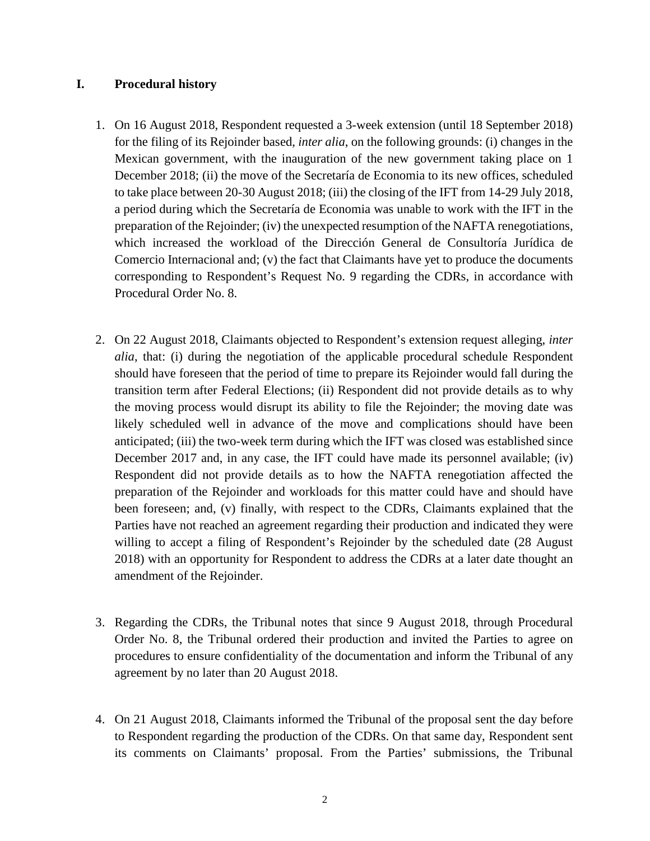## **I. Procedural history**

- 1. On 16 August 2018, Respondent requested a 3-week extension (until 18 September 2018) for the filing of its Rejoinder based, *inter alia*, on the following grounds: (i) changes in the Mexican government, with the inauguration of the new government taking place on 1 December 2018; (ii) the move of the Secretaría de Economia to its new offices, scheduled to take place between 20-30 August 2018; (iii) the closing of the IFT from 14-29 July 2018, a period during which the Secretaría de Economia was unable to work with the IFT in the preparation of the Rejoinder; (iv) the unexpected resumption of the NAFTA renegotiations, which increased the workload of the Dirección General de Consultoría Jurídica de Comercio Internacional and; (v) the fact that Claimants have yet to produce the documents corresponding to Respondent's Request No. 9 regarding the CDRs, in accordance with Procedural Order No. 8.
- 2. On 22 August 2018, Claimants objected to Respondent's extension request alleging, *inter alia*, that: (i) during the negotiation of the applicable procedural schedule Respondent should have foreseen that the period of time to prepare its Rejoinder would fall during the transition term after Federal Elections; (ii) Respondent did not provide details as to why the moving process would disrupt its ability to file the Rejoinder; the moving date was likely scheduled well in advance of the move and complications should have been anticipated; (iii) the two-week term during which the IFT was closed was established since December 2017 and, in any case, the IFT could have made its personnel available; (iv) Respondent did not provide details as to how the NAFTA renegotiation affected the preparation of the Rejoinder and workloads for this matter could have and should have been foreseen; and, (v) finally, with respect to the CDRs, Claimants explained that the Parties have not reached an agreement regarding their production and indicated they were willing to accept a filing of Respondent's Rejoinder by the scheduled date (28 August 2018) with an opportunity for Respondent to address the CDRs at a later date thought an amendment of the Rejoinder.
- 3. Regarding the CDRs, the Tribunal notes that since 9 August 2018, through Procedural Order No. 8, the Tribunal ordered their production and invited the Parties to agree on procedures to ensure confidentiality of the documentation and inform the Tribunal of any agreement by no later than 20 August 2018.
- 4. On 21 August 2018, Claimants informed the Tribunal of the proposal sent the day before to Respondent regarding the production of the CDRs. On that same day, Respondent sent its comments on Claimants' proposal. From the Parties' submissions, the Tribunal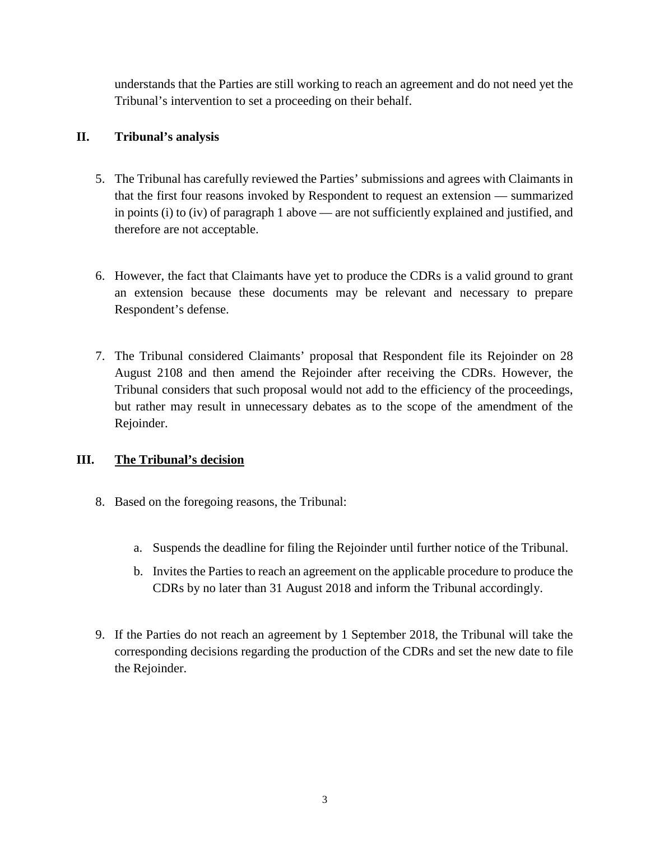understands that the Parties are still working to reach an agreement and do not need yet the Tribunal's intervention to set a proceeding on their behalf.

# **II. Tribunal's analysis**

- 5. The Tribunal has carefully reviewed the Parties' submissions and agrees with Claimants in that the first four reasons invoked by Respondent to request an extension — summarized in points (i) to (iv) of paragraph 1 above — are not sufficiently explained and justified, and therefore are not acceptable.
- 6. However, the fact that Claimants have yet to produce the CDRs is a valid ground to grant an extension because these documents may be relevant and necessary to prepare Respondent's defense.
- 7. The Tribunal considered Claimants' proposal that Respondent file its Rejoinder on 28 August 2108 and then amend the Rejoinder after receiving the CDRs. However, the Tribunal considers that such proposal would not add to the efficiency of the proceedings, but rather may result in unnecessary debates as to the scope of the amendment of the Rejoinder.

# **III. The Tribunal's decision**

- 8. Based on the foregoing reasons, the Tribunal:
	- a. Suspends the deadline for filing the Rejoinder until further notice of the Tribunal.
	- b. Invites the Parties to reach an agreement on the applicable procedure to produce the CDRs by no later than 31 August 2018 and inform the Tribunal accordingly.
- 9. If the Parties do not reach an agreement by 1 September 2018, the Tribunal will take the corresponding decisions regarding the production of the CDRs and set the new date to file the Rejoinder.